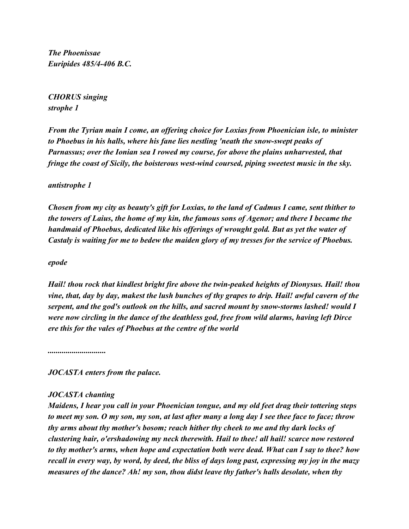*The Phoenissae Euripides 485/4-406 B.C.*

*CHORUS singing strophe 1*

*From the Tyrian main I come, an offering choice for Loxias from Phoenician isle, to minister to Phoebus in his halls, where his fane lies nestling 'neath the snow-swept peaks of Parnassus; over the Ionian sea I rowed my course, for above the plains unharvested, that fringe the coast of Sicily, the boisterous west-wind coursed, piping sweetest music in the sky.*

## *antistrophe 1*

*Chosen from my city as beauty's gift for Loxias, to the land of Cadmus I came, sent thither to the towers of Laius, the home of my kin, the famous sons of Agenor; and there I became the handmaid of Phoebus, dedicated like his offerings of wrought gold. But as yet the water of Castaly is waiting for me to bedew the maiden glory of my tresses for the service of Phoebus.*

## *epode*

*Hail! thou rock that kindlest bright fire above the twin-peaked heights of Dionysus. Hail! thou vine, that, day by day, makest the lush bunches of thy grapes to drip. Hail! awful cavern of the serpent, and the god's outlook on the hills, and sacred mount by snow-storms lashed! would I were now circling in the dance of the deathless god, free from wild alarms, having left Dirce ere this for the vales of Phoebus at the centre of the world*

*.............................*

*JOCASTA enters from the palace.*

## *JOCASTA chanting*

*Maidens, I hear you call in your Phoenician tongue, and my old feet drag their tottering steps to meet my son. O my son, my son, at last after many a long day I see thee face to face; throw thy arms about thy mother's bosom; reach hither thy cheek to me and thy dark locks of clustering hair, o'ershadowing my neck therewith. Hail to thee! all hail! scarce now restored to thy mother's arms, when hope and expectation both were dead. What can I say to thee? how recall in every way, by word, by deed, the bliss of days long past, expressing my joy in the mazy measures of the dance? Ah! my son, thou didst leave thy father's halls desolate, when thy*